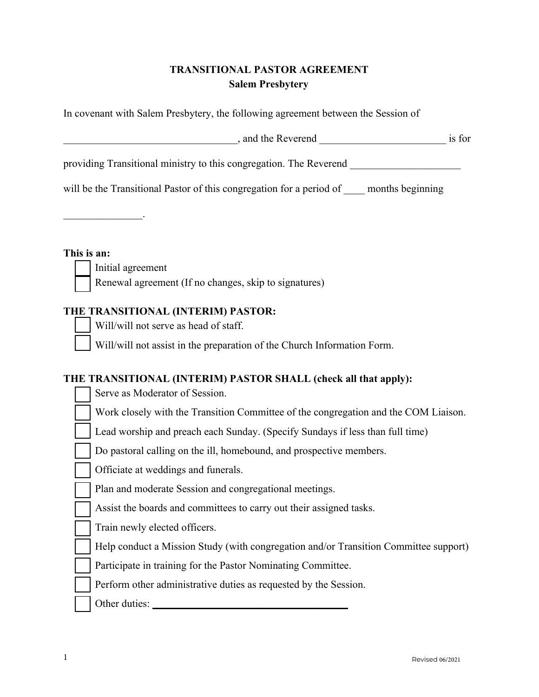# **TRANSITIONAL PASTOR AGREEMENT Salem Presbytery**

| In covenant with Salem Presbytery, the following agreement between the Session of        |        |  |
|------------------------------------------------------------------------------------------|--------|--|
| , and the Reverend                                                                       | is for |  |
| providing Transitional ministry to this congregation. The Reverend                       |        |  |
| will be the Transitional Pastor of this congregation for a period of<br>months beginning |        |  |

 $\mathcal{L}_\text{max}$  and  $\mathcal{L}_\text{max}$  and  $\mathcal{L}_\text{max}$ 

**This is an:**

Initial agreement

Renewal agreement (If no changes, skip to signatures)

## **THE TRANSITIONAL (INTERIM) PASTOR:**

Will/will not serve as head of staff.

Will/will not assist in the preparation of the Church Information Form.

## **THE TRANSITIONAL (INTERIM) PASTOR SHALL (check all that apply):**

| Serve as Moderator of Session.                                                       |
|--------------------------------------------------------------------------------------|
| Work closely with the Transition Committee of the congregation and the COM Liaison.  |
| Lead worship and preach each Sunday. (Specify Sundays if less than full time)        |
| Do pastoral calling on the ill, homebound, and prospective members.                  |
| Officiate at weddings and funerals.                                                  |
| Plan and moderate Session and congregational meetings.                               |
| Assist the boards and committees to carry out their assigned tasks.                  |
| Train newly elected officers.                                                        |
| Help conduct a Mission Study (with congregation and/or Transition Committee support) |
| Participate in training for the Pastor Nominating Committee.                         |
| Perform other administrative duties as requested by the Session.                     |
| Other duties:                                                                        |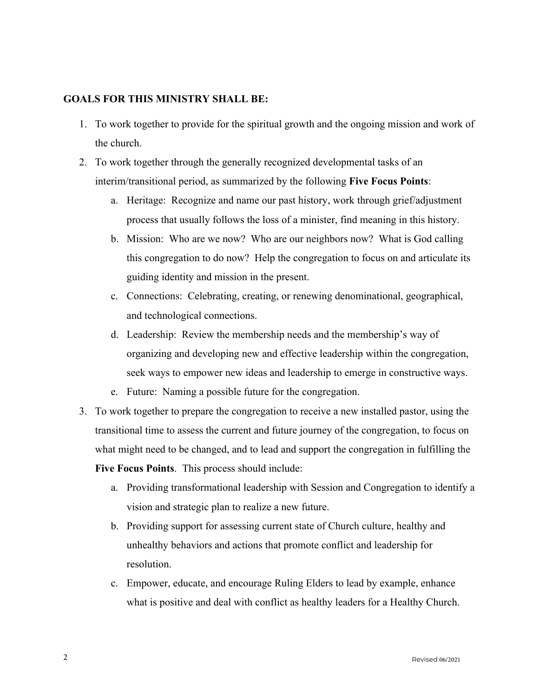### **GOALS FOR THIS MINISTRY SHALL BE:**

- 1. To work together to provide for the spiritual growth and the ongoing mission and work of the church.
- 2. To work together through the generally recognized developmental tasks of an interim/transitional period, as summarized by the following **Five Focus Points**:
	- a. Heritage: Recognize and name our past history, work through grief/adjustment process that usually follows the loss of a minister, find meaning in this history.
	- b. Mission: Who are we now? Who are our neighbors now? What is God calling this congregation to do now? Help the congregation to focus on and articulate its guiding identity and mission in the present.
	- c. Connections: Celebrating, creating, or renewing denominational, geographical, and technological connections.
	- d. Leadership: Review the membership needs and the membership's way of organizing and developing new and effective leadership within the congregation, seek ways to empower new ideas and leadership to emerge in constructive ways.
	- e. Future: Naming a possible future for the congregation.
- 3. To work together to prepare the congregation to receive a new installed pastor, using the transitional time to assess the current and future journey of the congregation, to focus on what might need to be changed, and to lead and support the congregation in fulfilling the **Five Focus Points**. This process should include:
	- a. Providing transformational leadership with Session and Congregation to identify a vision and strategic plan to realize a new future.
	- b. Providing support for assessing current state of Church culture, healthy and unhealthy behaviors and actions that promote conflict and leadership for resolution.
	- c. Empower, educate, and encourage Ruling Elders to lead by example, enhance what is positive and deal with conflict as healthy leaders for a Healthy Church.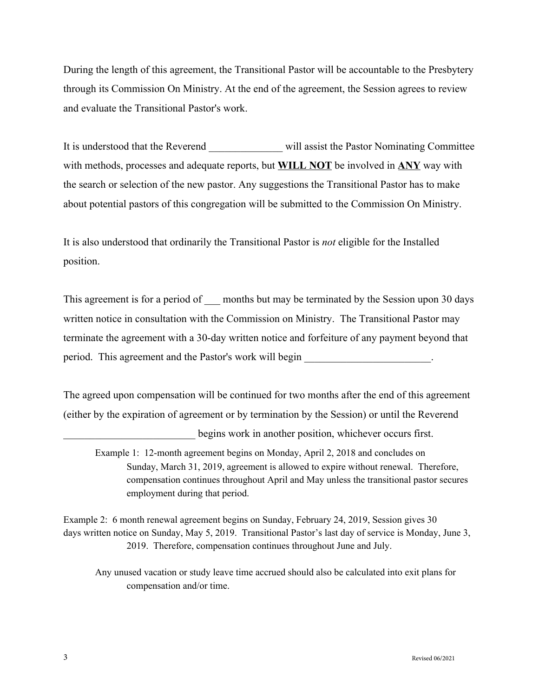During the length of this agreement, the Transitional Pastor will be accountable to the Presbytery through its Commission On Ministry. At the end of the agreement, the Session agrees to review and evaluate the Transitional Pastor's work.

It is understood that the Reverend will assist the Pastor Nominating Committee with methods, processes and adequate reports, but **WILL NOT** be involved in **ANY** way with the search or selection of the new pastor. Any suggestions the Transitional Pastor has to make about potential pastors of this congregation will be submitted to the Commission On Ministry.

It is also understood that ordinarily the Transitional Pastor is *not* eligible for the Installed position.

This agreement is for a period of separated by the Session upon 30 days written notice in consultation with the Commission on Ministry. The Transitional Pastor may terminate the agreement with a 30-day written notice and forfeiture of any payment beyond that period. This agreement and the Pastor's work will begin

The agreed upon compensation will be continued for two months after the end of this agreement (either by the expiration of agreement or by termination by the Session) or until the Reverend

begins work in another position, whichever occurs first.

Example 1: 12-month agreement begins on Monday, April 2, 2018 and concludes on Sunday, March 31, 2019, agreement is allowed to expire without renewal. Therefore, compensation continues throughout April and May unless the transitional pastor secures employment during that period.

Example 2: 6 month renewal agreement begins on Sunday, February 24, 2019, Session gives 30 days written notice on Sunday, May 5, 2019. Transitional Pastor's last day of service is Monday, June 3, 2019. Therefore, compensation continues throughout June and July.

Any unused vacation or study leave time accrued should also be calculated into exit plans for compensation and/or time.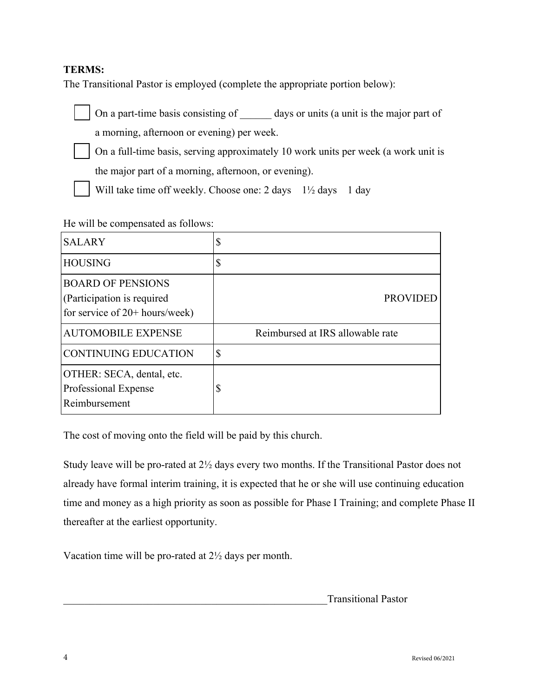### **TERMS:**

The Transitional Pastor is employed (complete the appropriate portion below):



On a part-time basis consisting of days or units (a unit is the major part of a morning, afternoon or evening) per week.



 On a full-time basis, serving approximately 10 work units per week (a work unit is the major part of a morning, afternoon, or evening).

Will take time off weekly. Choose one:  $2 \text{ days} \quad 1\frac{1}{2} \text{ days} \quad 1 \text{ day}$ 

#### He will be compensated as follows:

| <b>SALARY</b>                                                                              |                                  |
|--------------------------------------------------------------------------------------------|----------------------------------|
| <b>HOUSING</b>                                                                             | ¢<br>D                           |
| <b>BOARD OF PENSIONS</b><br>(Participation is required<br>for service of $20+$ hours/week) | <b>PROVIDED</b>                  |
| <b>AUTOMOBILE EXPENSE</b>                                                                  | Reimbursed at IRS allowable rate |
| <b>CONTINUING EDUCATION</b>                                                                | \$                               |
| OTHER: SECA, dental, etc.<br>Professional Expense<br>Reimbursement                         | D                                |

The cost of moving onto the field will be paid by this church.

Study leave will be pro-rated at 2½ days every two months. If the Transitional Pastor does not already have formal interim training, it is expected that he or she will use continuing education time and money as a high priority as soon as possible for Phase I Training; and complete Phase II thereafter at the earliest opportunity.

Vacation time will be pro-rated at 2½ days per month.

\_\_\_\_\_\_\_\_\_\_\_\_\_\_\_\_\_\_\_\_\_\_\_\_\_\_\_\_\_\_\_\_\_\_\_\_\_\_\_\_\_\_\_\_\_\_\_\_\_\_Transitional Pastor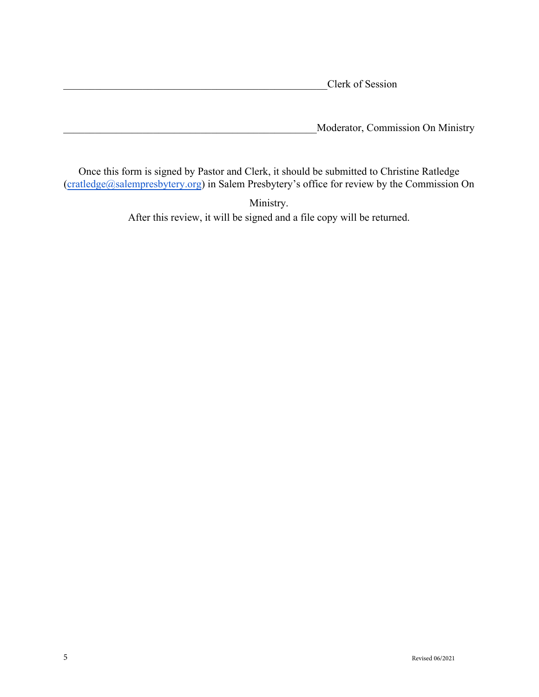Clerk of Session

\_\_\_\_\_\_\_\_\_\_\_\_\_\_\_\_\_\_\_\_\_\_\_\_\_\_\_\_\_\_\_\_\_\_\_\_\_\_\_\_\_\_\_\_\_\_\_\_Moderator, Commission On Ministry

Once this form is signed by Pastor and Clerk, it should be submitted to Christine Ratledge (cratledge[@salempresbytery.org](mailto:lscott@salempresbytery.org)) in Salem Presbytery's office for review by the Commission On

> Ministry. After this review, it will be signed and a file copy will be returned.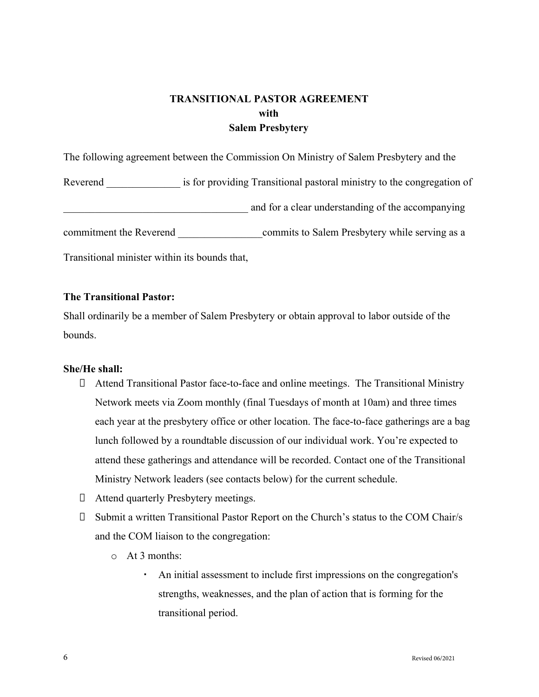# **TRANSITIONAL PASTOR AGREEMENT with Salem Presbytery**

The following agreement between the Commission On Ministry of Salem Presbytery and the Reverend is for providing Transitional pastoral ministry to the congregation of and for a clear understanding of the accompanying commitment the Reverend commits to Salem Presbytery while serving as a Transitional minister within its bounds that,

#### **The Transitional Pastor:**

Shall ordinarily be a member of Salem Presbytery or obtain approval to labor outside of the bounds.

#### **She/He shall:**

- Attend Transitional Pastor face-to-face and online meetings. The Transitional Ministry Network meets via Zoom monthly (final Tuesdays of month at 10am) and three times each year at the presbytery office or other location. The face-to-face gatherings are a bag lunch followed by a roundtable discussion of our individual work. You're expected to attend these gatherings and attendance will be recorded. Contact one of the Transitional Ministry Network leaders (see contacts below) for the current schedule.
- Attend quarterly Presbytery meetings.
- Submit a written Transitional Pastor Report on the Church's status to the COM Chair/s and the COM liaison to the congregation:
	- o At 3 months:
		- An initial assessment to include first impressions on the congregation's strengths, weaknesses, and the plan of action that is forming for the transitional period.